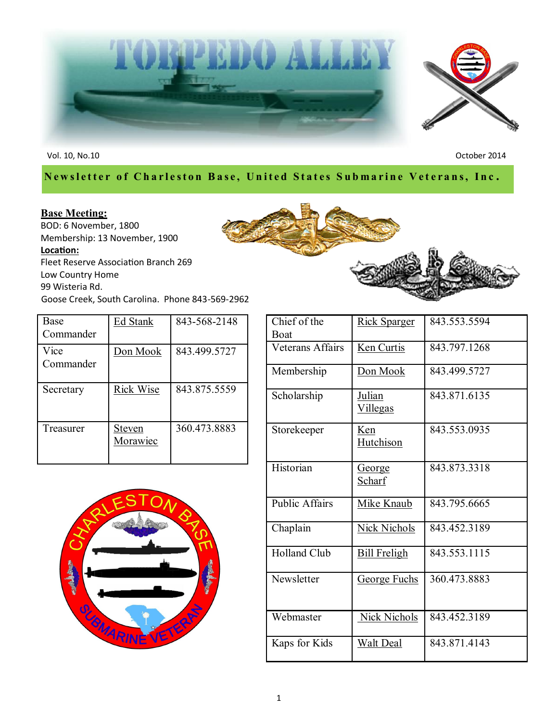

Vol. 10, No.10 October 2014

## **Newsletter of Charleston Base, United States Submarine Veterans, Inc.**

#### **Base Meeting:**

BOD: 6 November, 1800 Membership: 13 November, 1900 **Location:** Fleet Reserve Association Branch 269 Low Country Home 99 Wisteria Rd. Goose Creek, South Carolina. Phone 843-569-2962



| Base      | Ed Stank           | 843-568-2148 |
|-----------|--------------------|--------------|
| Commander |                    |              |
| Vice      | Don Mook           | 843.499.5727 |
| Commander |                    |              |
|           |                    |              |
| Secretary | Rick Wise          | 843.875.5559 |
|           |                    |              |
| Treasurer | Steven<br>Morawiec | 360.473.8883 |
|           |                    |              |



| Chief of the<br>Boat  | <u>Rick Sparger</u>       | 843.553.5594 |
|-----------------------|---------------------------|--------------|
| Veterans Affairs      | <b>Ken Curtis</b>         | 843.797.1268 |
| Membership            | Don Mook                  | 843.499.5727 |
| Scholarship           | Julian<br><u>Villegas</u> | 843.871.6135 |
| Storekeeper           | Ken<br>Hutchison          | 843.553.0935 |
| Historian             | <u>George</u><br>Scharf   | 843.873.3318 |
| <b>Public Affairs</b> | Mike Knaub                | 843.795.6665 |
| Chaplain              | <b>Nick Nichols</b>       | 843.452.3189 |
| <b>Holland Club</b>   | <b>Bill Freligh</b>       | 843.553.1115 |
| Newsletter            | <u>George Fuchs</u>       | 360.473.8883 |
| Webmaster             | <b>Nick Nichols</b>       | 843.452.3189 |
| Kaps for Kids         | <b>Walt Deal</b>          | 843.871.4143 |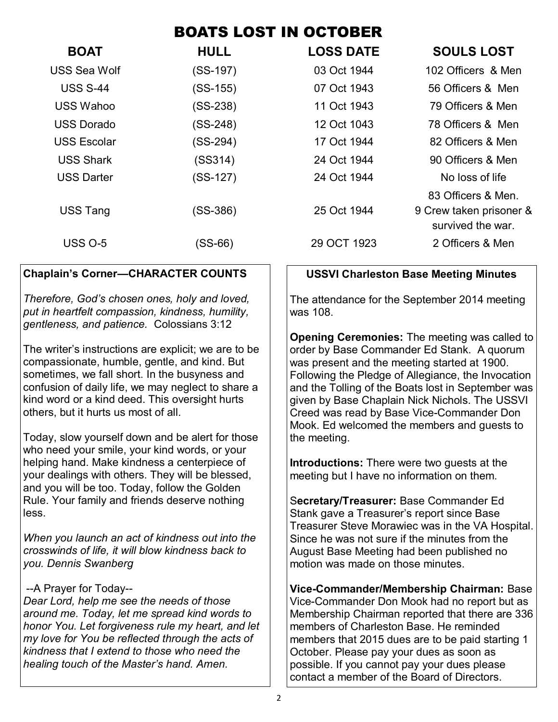# BOATS LOST IN OCTOBER

| <b>BOAT</b>        | <b>HULL</b> | <b>LOSS DATE</b> | <b>SOULS LOST</b>       |
|--------------------|-------------|------------------|-------------------------|
| USS Sea Wolf       | $(SS-197)$  | 03 Oct 1944      | 102 Officers & Men      |
| <b>USS S-44</b>    | $(SS-155)$  | 07 Oct 1943      | 56 Officers & Men       |
| USS Wahoo          | $(SS-238)$  | 11 Oct 1943      | 79 Officers & Men       |
| USS Dorado         | $(SS-248)$  | 12 Oct 1043      | 78 Officers & Men       |
| <b>USS Escolar</b> | $(SS-294)$  | 17 Oct 1944      | 82 Officers & Men       |
| <b>USS Shark</b>   | (SS314)     | 24 Oct 1944      | 90 Officers & Men       |
| <b>USS Darter</b>  | $(SS-127)$  | 24 Oct 1944      | No loss of life         |
|                    |             |                  | 83 Officers & Men.      |
| <b>USS Tang</b>    | $(SS-386)$  | 25 Oct 1944      | 9 Crew taken prisoner & |
|                    |             |                  | survived the war.       |
| <b>USS 0-5</b>     | (SS-66)     | 29 OCT 1923      | 2 Officers & Men        |

## **Chaplain's Corner—CHARACTER COUNTS**

*Therefore, God's chosen ones, holy and loved, put in heartfelt compassion, kindness, humility, gentleness, and patience.* Colossians 3:12

The writer's instructions are explicit; we are to be compassionate, humble, gentle, and kind. But sometimes, we fall short. In the busyness and confusion of daily life, we may neglect to share a kind word or a kind deed. This oversight hurts others, but it hurts us most of all.

Today, slow yourself down and be alert for those who need your smile, your kind words, or your helping hand. Make kindness a centerpiece of your dealings with others. They will be blessed, and you will be too. Today, follow the Golden Rule. Your family and friends deserve nothing less.

*When you launch an act of kindness out into the crosswinds of life, it will blow kindness back to you. Dennis Swanberg*

#### --A Prayer for Today--

*Dear Lord, help me see the needs of those around me. Today, let me spread kind words to honor You. Let forgiveness rule my heart, and let my love for You be reflected through the acts of kindness that I extend to those who need the healing touch of the Master's hand. Amen.*

#### **USSVI Charleston Base Meeting Minutes**

The attendance for the September 2014 meeting was 108.

**Opening Ceremonies:** The meeting was called to order by Base Commander Ed Stank. A quorum was present and the meeting started at 1900. Following the Pledge of Allegiance, the Invocation and the Tolling of the Boats lost in September was given by Base Chaplain Nick Nichols. The USSVI Creed was read by Base Vice-Commander Don Mook. Ed welcomed the members and guests to the meeting.

**Introductions:** There were two guests at the meeting but I have no information on them.

S**ecretary/Treasurer:** Base Commander Ed Stank gave a Treasurer's report since Base Treasurer Steve Morawiec was in the VA Hospital. Since he was not sure if the minutes from the August Base Meeting had been published no motion was made on those minutes.

**Vice-Commander/Membership Chairman:** Base Vice-Commander Don Mook had no report but as Membership Chairman reported that there are 336 members of Charleston Base. He reminded members that 2015 dues are to be paid starting 1 October. Please pay your dues as soon as possible. If you cannot pay your dues please contact a member of the Board of Directors.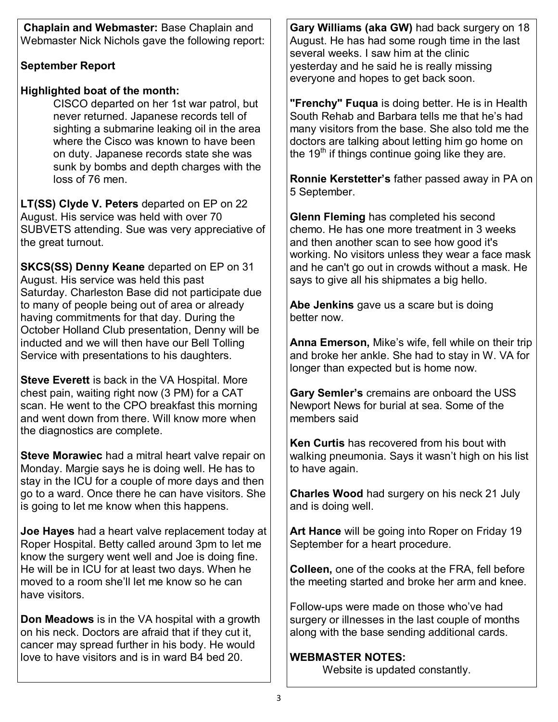**Chaplain and Webmaster:** Base Chaplain and Webmaster Nick Nichols gave the following report:

## **September Report**

## **Highlighted boat of the month:**

CISCO departed on her 1st war patrol, but never returned. Japanese records tell of sighting a submarine leaking oil in the area where the Cisco was known to have been on duty. Japanese records state she was sunk by bombs and depth charges with the loss of 76 men.

**LT(SS) Clyde V. Peters** departed on EP on 22 August. His service was held with over 70 SUBVETS attending. Sue was very appreciative of the great turnout.

**SKCS(SS) Denny Keane** departed on EP on 31 August. His service was held this past Saturday. Charleston Base did not participate due to many of people being out of area or already having commitments for that day. During the October Holland Club presentation, Denny will be inducted and we will then have our Bell Tolling Service with presentations to his daughters.

**Steve Everett** is back in the VA Hospital. More chest pain, waiting right now (3 PM) for a CAT scan. He went to the CPO breakfast this morning and went down from there. Will know more when the diagnostics are complete.

**Steve Morawiec** had a mitral heart valve repair on Monday. Margie says he is doing well. He has to stay in the ICU for a couple of more days and then go to a ward. Once there he can have visitors. She is going to let me know when this happens.

**Joe Hayes** had a heart valve replacement today at Roper Hospital. Betty called around 3pm to let me know the surgery went well and Joe is doing fine. He will be in ICU for at least two days. When he moved to a room she'll let me know so he can have visitors.

**Don Meadows** is in the VA hospital with a growth on his neck. Doctors are afraid that if they cut it, cancer may spread further in his body. He would love to have visitors and is in ward B4 bed 20.

**Gary Williams (aka GW)** had back surgery on 18 August. He has had some rough time in the last several weeks. I saw him at the clinic yesterday and he said he is really missing everyone and hopes to get back soon.

**"Frenchy" Fuqua** is doing better. He is in Health South Rehab and Barbara tells me that he's had many visitors from the base. She also told me the doctors are talking about letting him go home on the  $19<sup>th</sup>$  if things continue going like they are.

**Ronnie Kerstetter's** father passed away in PA on 5 September.

**Glenn Fleming** has completed his second chemo. He has one more treatment in 3 weeks and then another scan to see how good it's working. No visitors unless they wear a face mask and he can't go out in crowds without a mask. He says to give all his shipmates a big hello.

**Abe Jenkins** gave us a scare but is doing better now.

**Anna Emerson,** Mike's wife, fell while on their trip and broke her ankle. She had to stay in W. VA for longer than expected but is home now.

**Gary Semler's** cremains are onboard the USS Newport News for burial at sea. Some of the members said

**Ken Curtis** has recovered from his bout with walking pneumonia. Says it wasn't high on his list to have again.

**Charles Wood** had surgery on his neck 21 July and is doing well.

**Art Hance** will be going into Roper on Friday 19 September for a heart procedure.

**Colleen,** one of the cooks at the FRA, fell before the meeting started and broke her arm and knee.

Follow-ups were made on those who've had surgery or illnesses in the last couple of months along with the base sending additional cards.

#### **WEBMASTER NOTES:**

Website is updated constantly.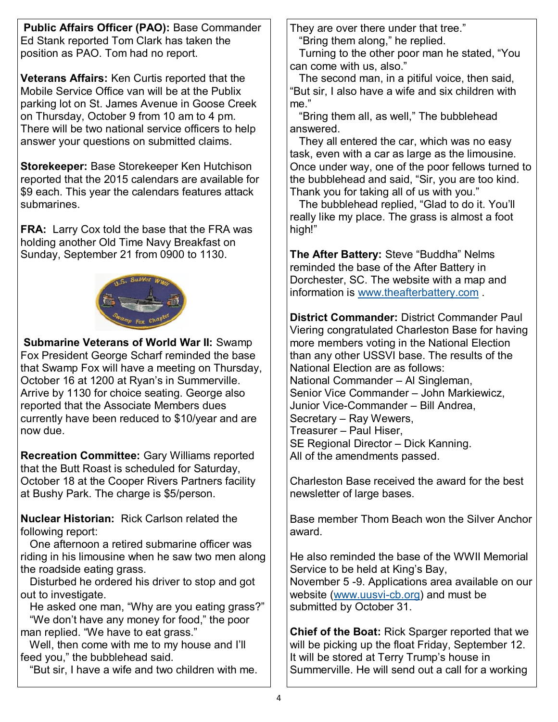**Public Affairs Officer (PAO):** Base Commander Ed Stank reported Tom Clark has taken the position as PAO. Tom had no report.

**Veterans Affairs:** Ken Curtis reported that the Mobile Service Office van will be at the Publix parking lot on St. James Avenue in Goose Creek on Thursday, October 9 from 10 am to 4 pm. There will be two national service officers to help answer your questions on submitted claims.

**Storekeeper:** Base Storekeeper Ken Hutchison reported that the 2015 calendars are available for \$9 each. This year the calendars features attack submarines.

**FRA:** Larry Cox told the base that the FRA was holding another Old Time Navy Breakfast on Sunday, September 21 from 0900 to 1130.



**Submarine Veterans of World War II:** Swamp Fox President George Scharf reminded the base that Swamp Fox will have a meeting on Thursday, October 16 at 1200 at Ryan's in Summerville. Arrive by 1130 for choice seating. George also reported that the Associate Members dues currently have been reduced to \$10/year and are now due.

**Recreation Committee:** Gary Williams reported that the Butt Roast is scheduled for Saturday, October 18 at the Cooper Rivers Partners facility at Bushy Park. The charge is \$5/person.

**Nuclear Historian:** Rick Carlson related the following report:

 One afternoon a retired submarine officer was riding in his limousine when he saw two men along the roadside eating grass.

 Disturbed he ordered his driver to stop and got out to investigate.

 He asked one man, "Why are you eating grass?" "We don't have any money for food," the poor

man replied. "We have to eat grass." Well, then come with me to my house and I'll feed you," the bubblehead said.

"But sir, I have a wife and two children with me.

They are over there under that tree." "Bring them along," he replied.

 Turning to the other poor man he stated, "You can come with us, also."

 The second man, in a pitiful voice, then said, "But sir, I also have a wife and six children with me."

 "Bring them all, as well," The bubblehead answered.

 They all entered the car, which was no easy task, even with a car as large as the limousine. Once under way, one of the poor fellows turned to the bubblehead and said, "Sir, you are too kind. Thank you for taking all of us with you."

 The bubblehead replied, "Glad to do it. You'll really like my place. The grass is almost a foot high!"

**The After Battery:** Steve "Buddha" Nelms reminded the base of the After Battery in Dorchester, SC. The website with a map and information is [www.theafterbattery.com](http://www.theafterbattery.com) .

**District Commander:** District Commander Paul Viering congratulated Charleston Base for having more members voting in the National Election than any other USSVI base. The results of the National Election are as follows: National Commander – Al Singleman, Senior Vice Commander – John Markiewicz, Junior Vice-Commander – Bill Andrea, Secretary – Ray Wewers, Treasurer – Paul Hiser, SE Regional Director – Dick Kanning. All of the amendments passed.

Charleston Base received the award for the best newsletter of large bases.

Base member Thom Beach won the Silver Anchor award.

He also reminded the base of the WWII Memorial Service to be held at King's Bay, November 5 -9. Applications area available on our website [\(www.uusvi](http://www.uusvi-cb.org)-cb.org) and must be submitted by October 31.

**Chief of the Boat:** Rick Sparger reported that we will be picking up the float Friday, September 12. It will be stored at Terry Trump's house in Summerville. He will send out a call for a working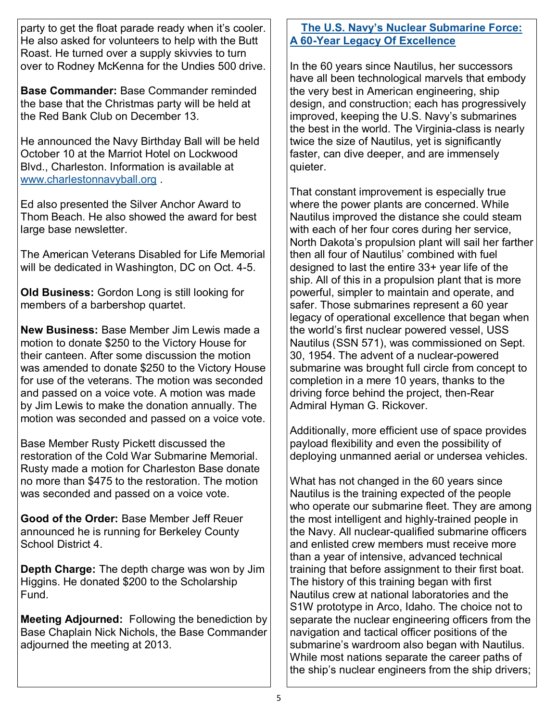party to get the float parade ready when it's cooler. He also asked for volunteers to help with the Butt Roast. He turned over a supply skivvies to turn over to Rodney McKenna for the Undies 500 drive.

**Base Commander:** Base Commander reminded the base that the Christmas party will be held at the Red Bank Club on December 13.

He announced the Navy Birthday Ball will be held October 10 at the Marriot Hotel on Lockwood Blvd., Charleston. Information is available at [www.charlestonnavyball.org](http://www.charlestonnavyball.org) .

Ed also presented the Silver Anchor Award to Thom Beach. He also showed the award for best large base newsletter.

The American Veterans Disabled for Life Memorial will be dedicated in Washington, DC on Oct. 4-5.

**Old Business:** Gordon Long is still looking for members of a barbershop quartet.

**New Business:** Base Member Jim Lewis made a motion to donate \$250 to the Victory House for their canteen. After some discussion the motion was amended to donate \$250 to the Victory House for use of the veterans. The motion was seconded and passed on a voice vote. A motion was made by Jim Lewis to make the donation annually. The motion was seconded and passed on a voice vote.

Base Member Rusty Pickett discussed the restoration of the Cold War Submarine Memorial. Rusty made a motion for Charleston Base donate no more than \$475 to the restoration. The motion was seconded and passed on a voice vote.

**Good of the Order:** Base Member Jeff Reuer announced he is running for Berkeley County School District 4.

**Depth Charge:** The depth charge was won by Jim Higgins. He donated \$200 to the Scholarship Fund.

**Meeting Adjourned:** Following the benediction by Base Chaplain Nick Nichols, the Base Commander adjourned the meeting at 2013.

## **The U.S. Navy's Nuclear Submarine Force: A 60-Year Legacy Of Excellence**

In the 60 years since Nautilus, her successors have all been technological marvels that embody the very best in American engineering, ship design, and construction; each has progressively improved, keeping the U.S. Navy's submarines the best in the world. The Virginia-class is nearly twice the size of Nautilus, yet is significantly faster, can dive deeper, and are immensely quieter.

That constant improvement is especially true where the power plants are concerned. While Nautilus improved the distance she could steam with each of her four cores during her service, North Dakota's propulsion plant will sail her farther then all four of Nautilus' combined with fuel designed to last the entire 33+ year life of the ship. All of this in a propulsion plant that is more powerful, simpler to maintain and operate, and safer. Those submarines represent a 60 year legacy of operational excellence that began when the world's first nuclear powered vessel, USS Nautilus (SSN 571), was commissioned on Sept. 30, 1954. The advent of a nuclear-powered submarine was brought full circle from concept to completion in a mere 10 years, thanks to the driving force behind the project, then-Rear Admiral Hyman G. Rickover.

Additionally, more efficient use of space provides payload flexibility and even the possibility of deploying unmanned aerial or undersea vehicles.

What has not changed in the 60 years since Nautilus is the training expected of the people who operate our submarine fleet. They are among the most intelligent and highly-trained people in the Navy. All nuclear-qualified submarine officers and enlisted crew members must receive more than a year of intensive, advanced technical training that before assignment to their first boat. The history of this training began with first Nautilus crew at national laboratories and the S1W prototype in Arco, Idaho. The choice not to separate the nuclear engineering officers from the navigation and tactical officer positions of the submarine's wardroom also began with Nautilus. While most nations separate the career paths of the ship's nuclear engineers from the ship drivers;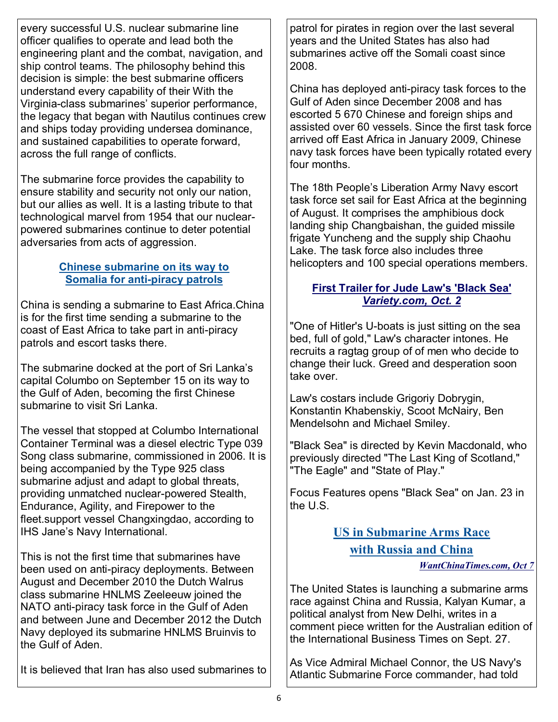every successful U.S. nuclear submarine line officer qualifies to operate and lead both the engineering plant and the combat, navigation, and ship control teams. The philosophy behind this decision is simple: the best submarine officers understand every capability of their With the Virginia-class submarines' superior performance, the legacy that began with Nautilus continues crew and ships today providing undersea dominance, and sustained capabilities to operate forward, across the full range of conflicts.

The submarine force provides the capability to ensure stability and security not only our nation, but our allies as well. It is a lasting tribute to that technological marvel from 1954 that our nuclearpowered submarines continue to deter potential adversaries from acts of aggression.

#### **Chinese submarine on its way to Somalia for anti-piracy patrols**

China is sending a submarine to East Africa.China is for the first time sending a submarine to the coast of East Africa to take part in anti-piracy patrols and escort tasks there.

The submarine docked at the port of Sri Lanka's capital Columbo on September 15 on its way to the Gulf of Aden, becoming the first Chinese submarine to visit Sri Lanka.

The vessel that stopped at Columbo International Container Terminal was a diesel electric Type 039 Song class submarine, commissioned in 2006. It is being accompanied by the Type 925 class submarine adjust and adapt to global threats, providing unmatched nuclear-powered Stealth, Endurance, Agility, and Firepower to the fleet.support vessel Changxingdao, according to IHS Jane's Navy International.

This is not the first time that submarines have been used on anti-piracy deployments. Between August and December 2010 the Dutch Walrus class submarine HNLMS Zeeleeuw joined the NATO anti-piracy task force in the Gulf of Aden and between June and December 2012 the Dutch Navy deployed its submarine HNLMS Bruinvis to the Gulf of Aden.

It is believed that Iran has also used submarines to

patrol for pirates in region over the last several years and the United States has also had submarines active off the Somali coast since 2008.

China has deployed anti-piracy task forces to the Gulf of Aden since December 2008 and has escorted 5 670 Chinese and foreign ships and assisted over 60 vessels. Since the first task force arrived off East Africa in January 2009, Chinese navy task forces have been typically rotated every four months.

The 18th People's Liberation Army Navy escort task force set sail for East Africa at the beginning of August. It comprises the amphibious dock landing ship Changbaishan, the guided missile frigate Yuncheng and the supply ship Chaohu Lake. The task force also includes three helicopters and 100 special operations members.

## **First Trailer for Jude Law's 'Black Sea'** *Variety.com, Oct. 2*

"One of Hitler's U-boats is just sitting on the sea bed, full of gold," Law's character intones. He recruits a ragtag group of of men who decide to change their luck. Greed and desperation soon take over.

Law's costars include Grigoriy Dobrygin, Konstantin Khabenskiy, Scoot McNairy, Ben Mendelsohn and Michael Smiley.

"Black Sea" is directed by Kevin Macdonald, who previously directed "The Last King of Scotland," "The Eagle" and "State of Play."

Focus Features opens "Black Sea" on Jan. 23 in the U.S.

# **US in Submarine Arms Race with Russia and China**

*WantChinaTimes.com, Oct 7*

The United States is launching a submarine arms race against China and Russia, Kalyan Kumar, a political analyst from New Delhi, writes in a comment piece written for the Australian edition of the International Business Times on Sept. 27.

As Vice Admiral Michael Connor, the US Navy's Atlantic Submarine Force commander, had told